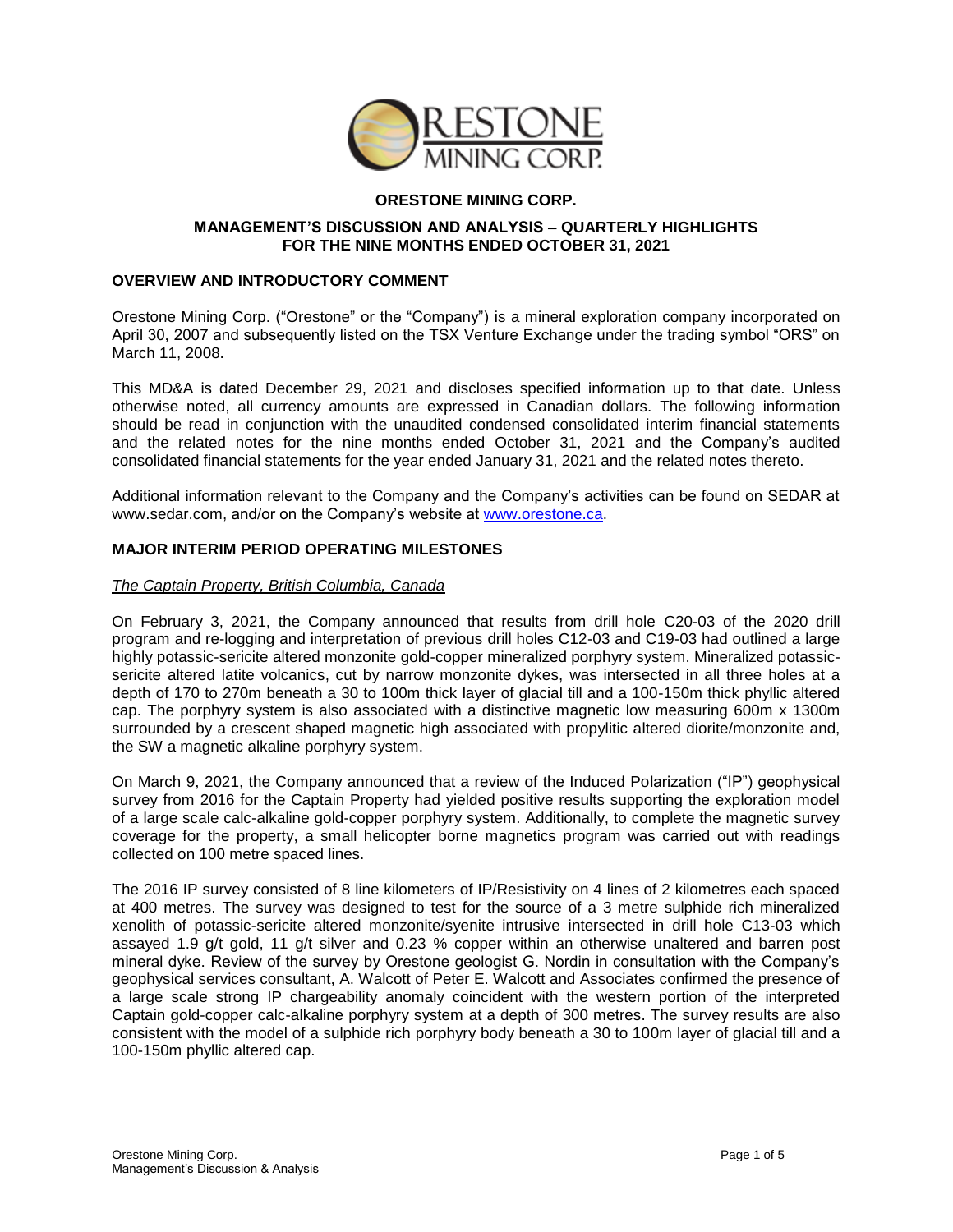

# **ORESTONE MINING CORP.**

### **MANAGEMENT'S DISCUSSION AND ANALYSIS – QUARTERLY HIGHLIGHTS FOR THE NINE MONTHS ENDED OCTOBER 31, 2021**

### **OVERVIEW AND INTRODUCTORY COMMENT**

Orestone Mining Corp. ("Orestone" or the "Company") is a mineral exploration company incorporated on April 30, 2007 and subsequently listed on the TSX Venture Exchange under the trading symbol "ORS" on March 11, 2008.

This MD&A is dated December 29, 2021 and discloses specified information up to that date. Unless otherwise noted, all currency amounts are expressed in Canadian dollars. The following information should be read in conjunction with the unaudited condensed consolidated interim financial statements and the related notes for the nine months ended October 31, 2021 and the Company's audited consolidated financial statements for the year ended January 31, 2021 and the related notes thereto.

Additional information relevant to the Company and the Company's activities can be found on SEDAR at [www.sedar.com,](http://www.sedar.com/) and/or on the Company's website at [www.orestone.ca.](http://www.orestone.ca/)

### **MAJOR INTERIM PERIOD OPERATING MILESTONES**

#### *The Captain Property, British Columbia, Canada*

On February 3, 2021, the Company announced that results from drill hole C20-03 of the 2020 drill program and re-logging and interpretation of previous drill holes C12-03 and C19-03 had outlined a large highly potassic-sericite altered monzonite gold-copper mineralized porphyry system. Mineralized potassicsericite altered latite volcanics, cut by narrow monzonite dykes, was intersected in all three holes at a depth of 170 to 270m beneath a 30 to 100m thick layer of glacial till and a 100-150m thick phyllic altered cap. The porphyry system is also associated with a distinctive magnetic low measuring 600m x 1300m surrounded by a crescent shaped magnetic high associated with propylitic altered diorite/monzonite and, the SW a magnetic alkaline porphyry system.

On March 9, 2021, the Company announced that a review of the Induced Polarization ("IP") geophysical survey from 2016 for the Captain Property had yielded positive results supporting the exploration model of a large scale calc-alkaline gold-copper porphyry system. Additionally, to complete the magnetic survey coverage for the property, a small helicopter borne magnetics program was carried out with readings collected on 100 metre spaced lines.

The 2016 IP survey consisted of 8 line kilometers of IP/Resistivity on 4 lines of 2 kilometres each spaced at 400 metres. The survey was designed to test for the source of a 3 metre sulphide rich mineralized xenolith of potassic-sericite altered monzonite/syenite intrusive intersected in drill hole C13-03 which assayed 1.9 g/t gold, 11 g/t silver and 0.23 % copper within an otherwise unaltered and barren post mineral dyke. Review of the survey by Orestone geologist G. Nordin in consultation with the Company's geophysical services consultant, A. Walcott of Peter E. Walcott and Associates confirmed the presence of a large scale strong IP chargeability anomaly coincident with the western portion of the interpreted Captain gold-copper calc-alkaline porphyry system at a depth of 300 metres. The survey results are also consistent with the model of a sulphide rich porphyry body beneath a 30 to 100m layer of glacial till and a 100-150m phyllic altered cap.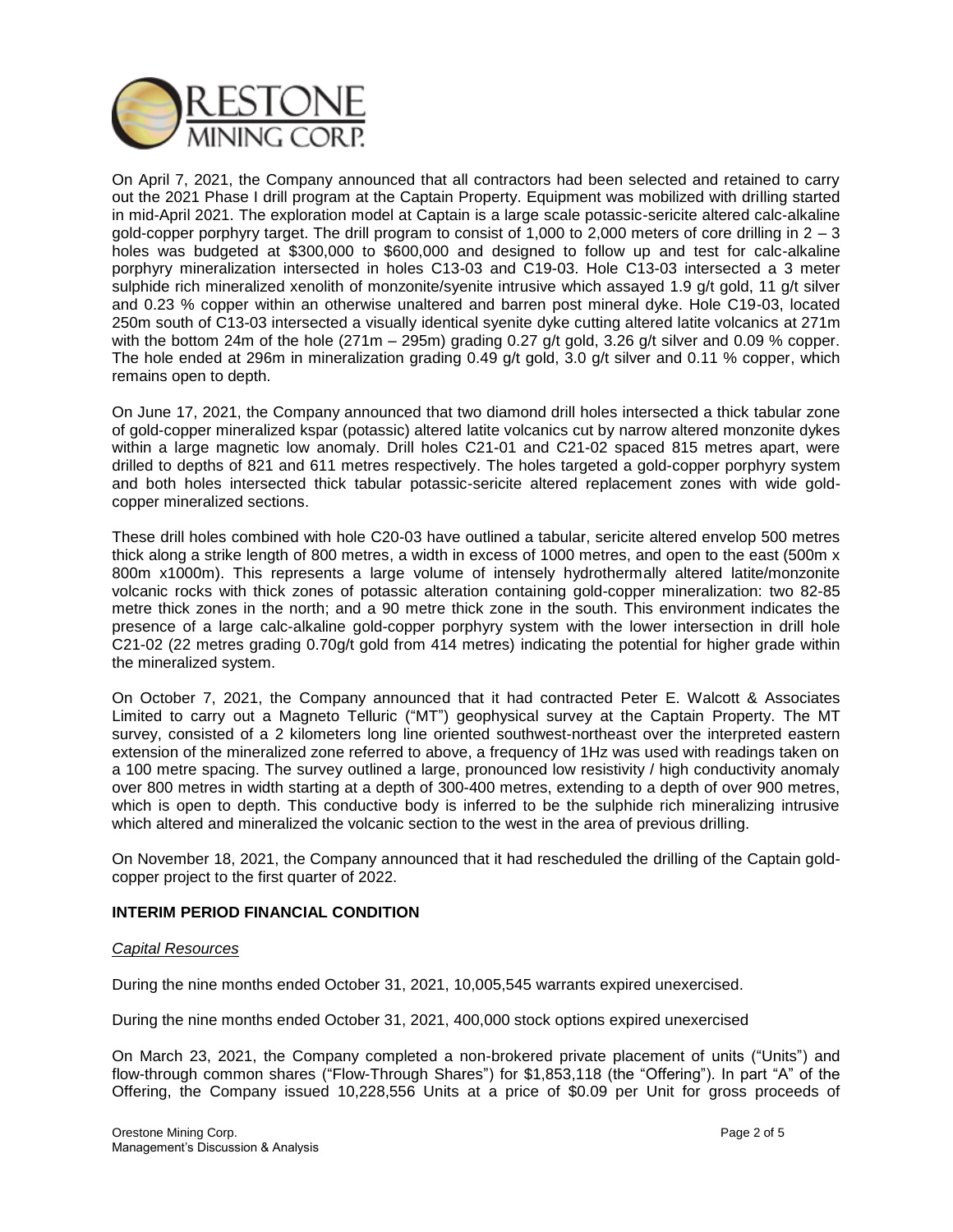

On April 7, 2021, the Company announced that all contractors had been selected and retained to carry out the 2021 Phase I drill program at the Captain Property. Equipment was mobilized with drilling started in mid-April 2021. The exploration model at Captain is a large scale potassic-sericite altered calc-alkaline gold-copper porphyry target. The drill program to consist of 1,000 to 2,000 meters of core drilling in  $2 - 3$ holes was budgeted at \$300,000 to \$600,000 and designed to follow up and test for calc-alkaline porphyry mineralization intersected in holes C13-03 and C19-03. Hole C13-03 intersected a 3 meter sulphide rich mineralized xenolith of monzonite/syenite intrusive which assayed 1.9 g/t gold, 11 g/t silver and 0.23 % copper within an otherwise unaltered and barren post mineral dyke. Hole C19-03, located 250m south of C13-03 intersected a visually identical syenite dyke cutting altered latite volcanics at 271m with the bottom 24m of the hole (271m – 295m) grading 0.27 g/t gold, 3.26 g/t silver and 0.09 % copper. The hole ended at 296m in mineralization grading 0.49 g/t gold, 3.0 g/t silver and 0.11 % copper, which remains open to depth.

On June 17, 2021, the Company announced that two diamond drill holes intersected a thick tabular zone of gold-copper mineralized kspar (potassic) altered latite volcanics cut by narrow altered monzonite dykes within a large magnetic low anomaly. Drill holes C21-01 and C21-02 spaced 815 metres apart, were drilled to depths of 821 and 611 metres respectively. The holes targeted a gold-copper porphyry system and both holes intersected thick tabular potassic-sericite altered replacement zones with wide goldcopper mineralized sections.

These drill holes combined with hole C20-03 have outlined a tabular, sericite altered envelop 500 metres thick along a strike length of 800 metres, a width in excess of 1000 metres, and open to the east (500m x 800m x1000m). This represents a large volume of intensely hydrothermally altered latite/monzonite volcanic rocks with thick zones of potassic alteration containing gold-copper mineralization: two 82-85 metre thick zones in the north; and a 90 metre thick zone in the south. This environment indicates the presence of a large calc-alkaline gold-copper porphyry system with the lower intersection in drill hole C21-02 (22 metres grading 0.70g/t gold from 414 metres) indicating the potential for higher grade within the mineralized system.

On October 7, 2021, the Company announced that it had contracted Peter E. Walcott & Associates Limited to carry out a Magneto Telluric ("MT") geophysical survey at the Captain Property. The MT survey, consisted of a 2 kilometers long line oriented southwest-northeast over the interpreted eastern extension of the mineralized zone referred to above, a frequency of 1Hz was used with readings taken on a 100 metre spacing. The survey outlined a large, pronounced low resistivity / high conductivity anomaly over 800 metres in width starting at a depth of 300-400 metres, extending to a depth of over 900 metres, which is open to depth. This conductive body is inferred to be the sulphide rich mineralizing intrusive which altered and mineralized the volcanic section to the west in the area of previous drilling.

On November 18, 2021, the Company announced that it had rescheduled the drilling of the Captain goldcopper project to the first quarter of 2022.

### **INTERIM PERIOD FINANCIAL CONDITION**

### *Capital Resources*

During the nine months ended October 31, 2021, 10,005,545 warrants expired unexercised.

During the nine months ended October 31, 2021, 400,000 stock options expired unexercised

On March 23, 2021, the Company completed a non-brokered private placement of units ("Units") and flow-through common shares ("Flow-Through Shares") for \$1,853,118 (the "Offering"). In part "A" of the Offering, the Company issued 10,228,556 Units at a price of \$0.09 per Unit for gross proceeds of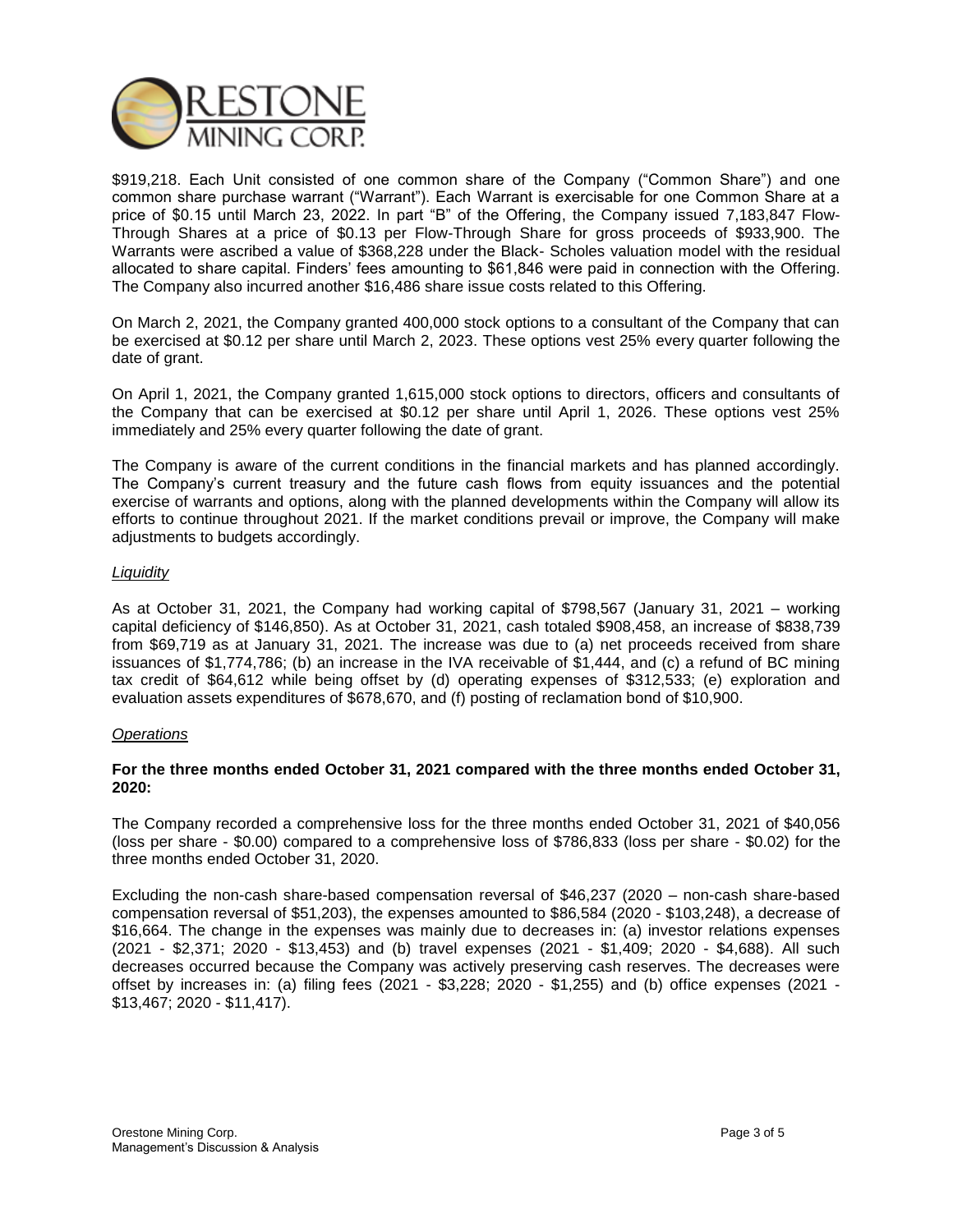

\$919,218. Each Unit consisted of one common share of the Company ("Common Share") and one common share purchase warrant ("Warrant"). Each Warrant is exercisable for one Common Share at a price of \$0.15 until March 23, 2022. In part "B" of the Offering, the Company issued 7,183,847 Flow-Through Shares at a price of \$0.13 per Flow-Through Share for gross proceeds of \$933,900. The Warrants were ascribed a value of \$368,228 under the Black- Scholes valuation model with the residual allocated to share capital. Finders' fees amounting to \$61,846 were paid in connection with the Offering. The Company also incurred another \$16,486 share issue costs related to this Offering.

On March 2, 2021, the Company granted 400,000 stock options to a consultant of the Company that can be exercised at \$0.12 per share until March 2, 2023. These options vest 25% every quarter following the date of grant.

On April 1, 2021, the Company granted 1,615,000 stock options to directors, officers and consultants of the Company that can be exercised at \$0.12 per share until April 1, 2026. These options vest 25% immediately and 25% every quarter following the date of grant.

The Company is aware of the current conditions in the financial markets and has planned accordingly. The Company's current treasury and the future cash flows from equity issuances and the potential exercise of warrants and options, along with the planned developments within the Company will allow its efforts to continue throughout 2021. If the market conditions prevail or improve, the Company will make adjustments to budgets accordingly.

## *Liquidity*

As at October 31, 2021, the Company had working capital of \$798,567 (January 31, 2021 – working capital deficiency of \$146,850). As at October 31, 2021, cash totaled \$908,458, an increase of \$838,739 from \$69,719 as at January 31, 2021. The increase was due to (a) net proceeds received from share issuances of \$1,774,786; (b) an increase in the IVA receivable of \$1,444, and (c) a refund of BC mining tax credit of \$64,612 while being offset by (d) operating expenses of \$312,533; (e) exploration and evaluation assets expenditures of \$678,670, and (f) posting of reclamation bond of \$10,900.

### *Operations*

## **For the three months ended October 31, 2021 compared with the three months ended October 31, 2020:**

The Company recorded a comprehensive loss for the three months ended October 31, 2021 of \$40,056 (loss per share - \$0.00) compared to a comprehensive loss of \$786,833 (loss per share - \$0.02) for the three months ended October 31, 2020.

Excluding the non-cash share-based compensation reversal of \$46,237 (2020 – non-cash share-based compensation reversal of \$51,203), the expenses amounted to \$86,584 (2020 - \$103,248), a decrease of \$16,664. The change in the expenses was mainly due to decreases in: (a) investor relations expenses (2021 - \$2,371; 2020 - \$13,453) and (b) travel expenses (2021 - \$1,409; 2020 - \$4,688). All such decreases occurred because the Company was actively preserving cash reserves. The decreases were offset by increases in: (a) filing fees (2021 - \$3,228; 2020 - \$1,255) and (b) office expenses (2021 - \$13,467; 2020 - \$11,417).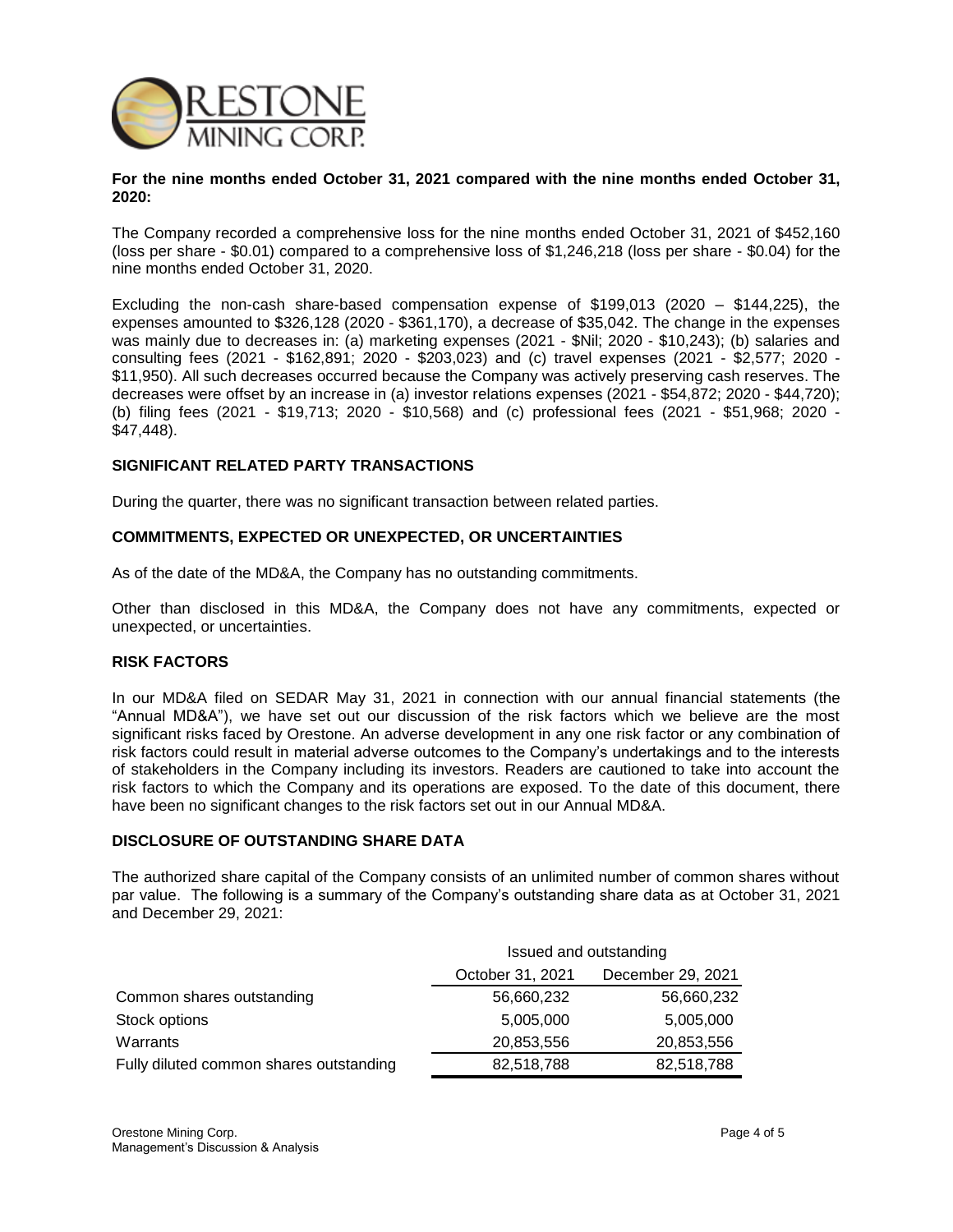

#### **For the nine months ended October 31, 2021 compared with the nine months ended October 31, 2020:**

The Company recorded a comprehensive loss for the nine months ended October 31, 2021 of \$452,160 (loss per share - \$0.01) compared to a comprehensive loss of \$1,246,218 (loss per share - \$0.04) for the nine months ended October 31, 2020.

Excluding the non-cash share-based compensation expense of \$199,013 (2020 – \$144,225), the expenses amounted to \$326,128 (2020 - \$361,170), a decrease of \$35,042. The change in the expenses was mainly due to decreases in: (a) marketing expenses (2021 - \$Nil; 2020 - \$10,243); (b) salaries and consulting fees (2021 - \$162,891; 2020 - \$203,023) and (c) travel expenses (2021 - \$2,577; 2020 - \$11,950). All such decreases occurred because the Company was actively preserving cash reserves. The decreases were offset by an increase in (a) investor relations expenses (2021 - \$54,872; 2020 - \$44,720); (b) filing fees (2021 - \$19,713; 2020 - \$10,568) and (c) professional fees (2021 - \$51,968; 2020 - \$47,448).

## **SIGNIFICANT RELATED PARTY TRANSACTIONS**

During the quarter, there was no significant transaction between related parties.

### **COMMITMENTS, EXPECTED OR UNEXPECTED, OR UNCERTAINTIES**

As of the date of the MD&A, the Company has no outstanding commitments.

Other than disclosed in this MD&A, the Company does not have any commitments, expected or unexpected, or uncertainties.

### **RISK FACTORS**

In our MD&A filed on SEDAR May 31, 2021 in connection with our annual financial statements (the "Annual MD&A"), we have set out our discussion of the risk factors which we believe are the most significant risks faced by Orestone. An adverse development in any one risk factor or any combination of risk factors could result in material adverse outcomes to the Company's undertakings and to the interests of stakeholders in the Company including its investors. Readers are cautioned to take into account the risk factors to which the Company and its operations are exposed. To the date of this document, there have been no significant changes to the risk factors set out in our Annual MD&A.

### **DISCLOSURE OF OUTSTANDING SHARE DATA**

The authorized share capital of the Company consists of an unlimited number of common shares without par value. The following is a summary of the Company's outstanding share data as at October 31, 2021 and December 29, 2021:

|                                         | Issued and outstanding |                   |
|-----------------------------------------|------------------------|-------------------|
|                                         | October 31, 2021       | December 29, 2021 |
| Common shares outstanding               | 56,660,232             | 56,660,232        |
| Stock options                           | 5,005,000              | 5,005,000         |
| Warrants                                | 20,853,556             | 20,853,556        |
| Fully diluted common shares outstanding | 82,518,788             | 82,518,788        |